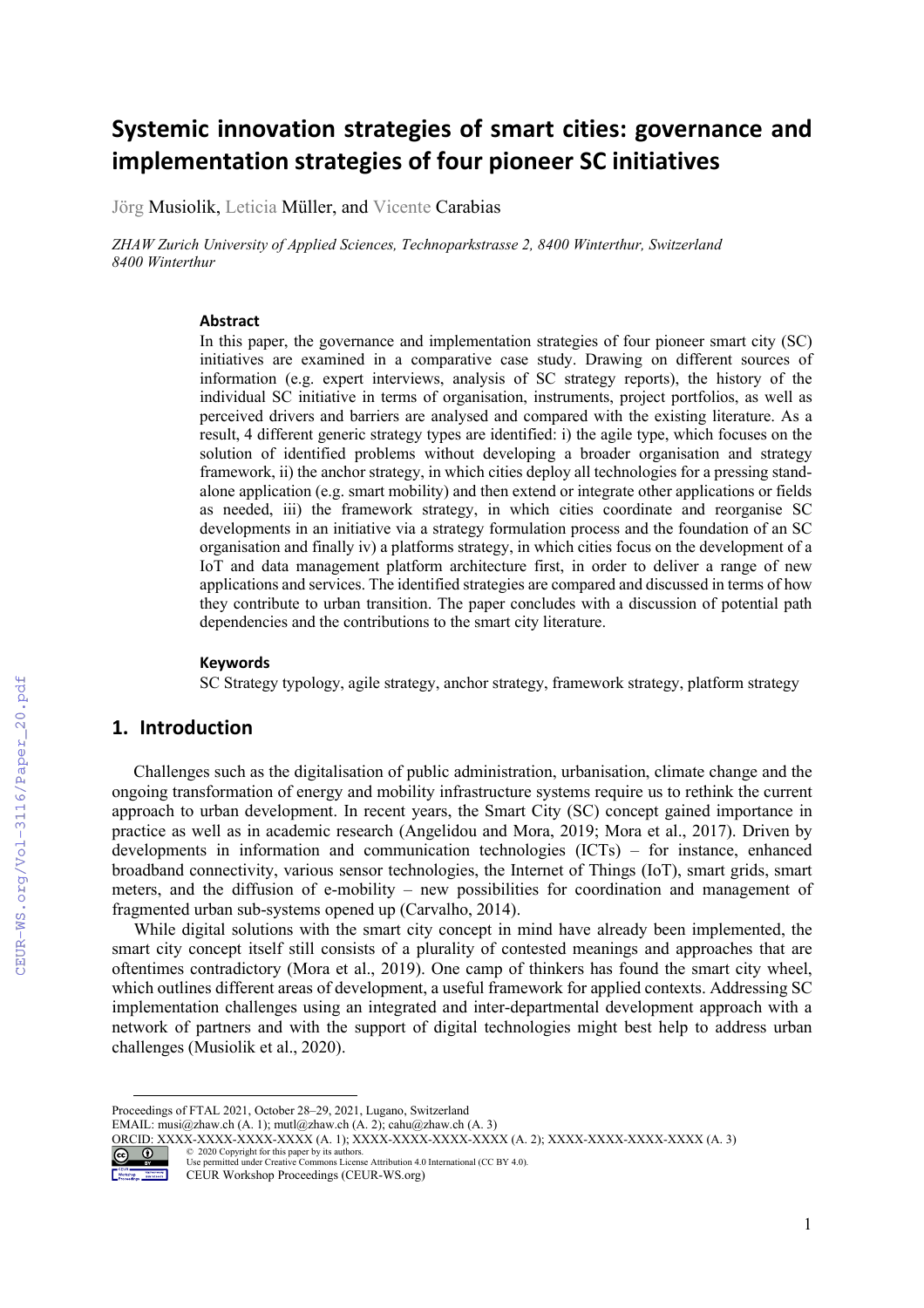# **Systemic innovation strategies of smart cities: governance and implementation strategies of four pioneer SC initiatives**

Jörg Musiolik, Leticia Müller, and Vicente Carabias

*ZHAW Zurich University of Applied Sciences, Technoparkstrasse 2, 8400 Winterthur, Switzerland 8400 Winterthur*

#### **Abstract**

In this paper, the governance and implementation strategies of four pioneer smart city (SC) initiatives are examined in a comparative case study. Drawing on different sources of information (e.g. expert interviews, analysis of SC strategy reports), the history of the individual SC initiative in terms of organisation, instruments, project portfolios, as well as perceived drivers and barriers are analysed and compared with the existing literature. As a result, 4 different generic strategy types are identified: i) the agile type, which focuses on the solution of identified problems without developing a broader organisation and strategy framework, ii) the anchor strategy, in which cities deploy all technologies for a pressing standalone application (e.g. smart mobility) and then extend or integrate other applications or fields as needed, iii) the framework strategy, in which cities coordinate and reorganise SC developments in an initiative via a strategy formulation process and the foundation of an SC organisation and finally iv) a platforms strategy, in which cities focus on the development of a IoT and data management platform architecture first, in order to deliver a range of new applications and services. The identified strategies are compared and discussed in terms of how they contribute to urban transition. The paper concludes with a discussion of potential path dependencies and the contributions to the smart city literature.

#### **Keywords [1](#page-0-0)**

SC Strategy typology, agile strategy, anchor strategy, framework strategy, platform strategy

# **1. Introduction**

Challenges such as the digitalisation of public administration, urbanisation, climate change and the ongoing transformation of energy and mobility infrastructure systems require us to rethink the current approach to urban development. In recent years, the Smart City (SC) concept gained importance in practice as well as in academic research (Angelidou and Mora, 2019; Mora et al., 2017). Driven by developments in information and communication technologies (ICTs) – for instance, enhanced broadband connectivity, various sensor technologies, the Internet of Things (IoT), smart grids, smart meters, and the diffusion of e-mobility – new possibilities for coordination and management of fragmented urban sub-systems opened up (Carvalho, 2014).

While digital solutions with the smart city concept in mind have already been implemented, the smart city concept itself still consists of a plurality of contested meanings and approaches that are oftentimes contradictory (Mora et al., 2019). One camp of thinkers has found the smart city wheel, which outlines different areas of development, a useful framework for applied contexts. Addressing SC implementation challenges using an integrated and inter-departmental development approach with a network of partners and with the support of digital technologies might best help to address urban challenges (Musiolik et al., 2020).

<span id="page-0-0"></span>Proceedings of FTAL 2021, October 28–29, 2021, Lugano, Switzerland

EMAIL: musi@zhaw.ch (A. 1); mutl@zhaw.ch (A. 2); cahu@zhaw.ch (A. 3)

ORCID: XXXX-XXXX-XXXX-XXXX-XXXX (A. 1); XXXX-XXXX-XXXX-XXXX (A. 2); XXXX-XXXX-XXXX-XXXX (A. 3) © 2020 Copyright for this paper by its authors.



Use permitted under Creative Commons License Attribution 4.0 International (CC BY 4.0). CEUR Workshop Proceedings (CEUR-WS.org)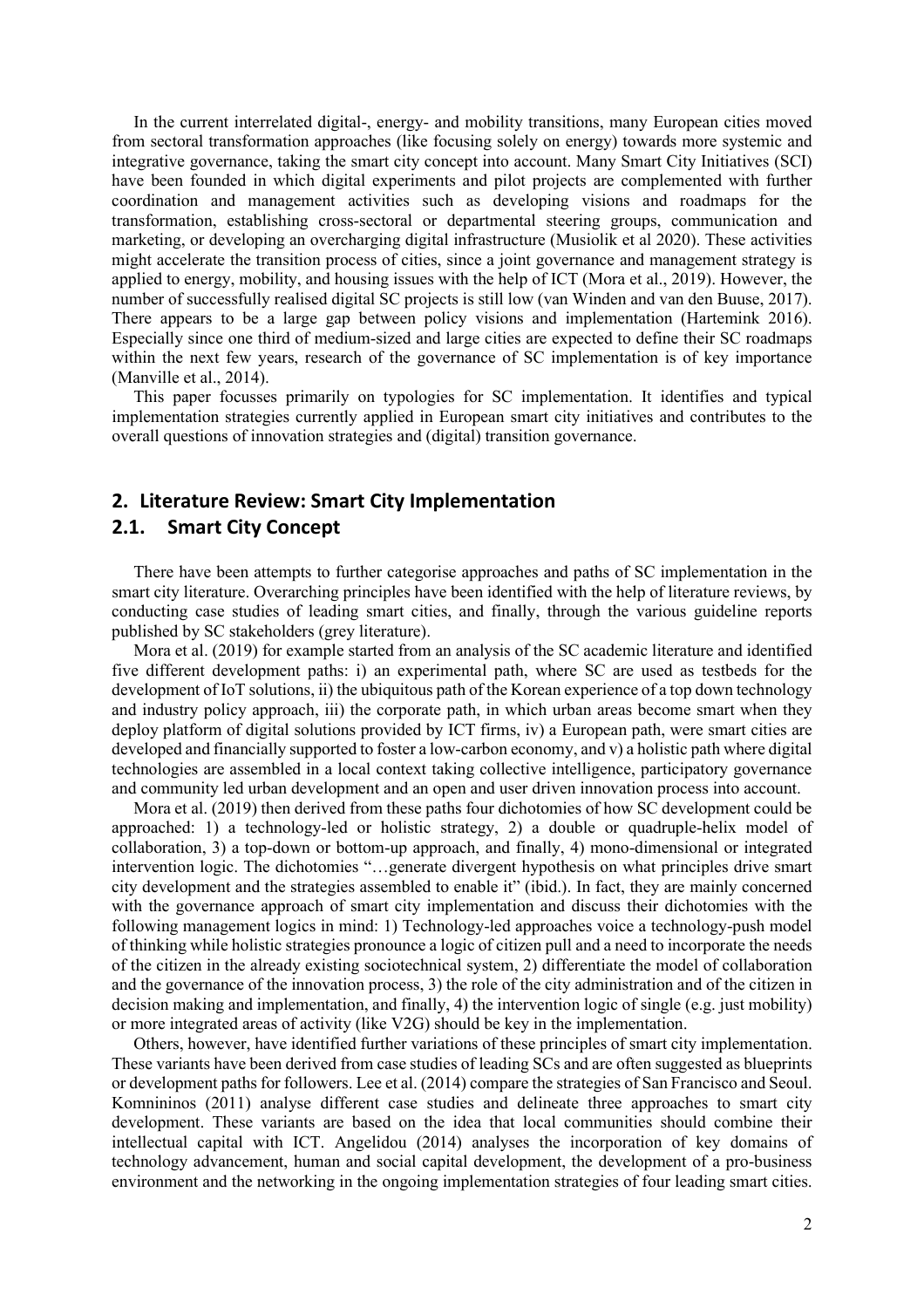In the current interrelated digital-, energy- and mobility transitions, many European cities moved from sectoral transformation approaches (like focusing solely on energy) towards more systemic and integrative governance, taking the smart city concept into account. Many Smart City Initiatives (SCI) have been founded in which digital experiments and pilot projects are complemented with further coordination and management activities such as developing visions and roadmaps for the transformation, establishing cross-sectoral or departmental steering groups, communication and marketing, or developing an overcharging digital infrastructure (Musiolik et al 2020). These activities might accelerate the transition process of cities, since a joint governance and management strategy is applied to energy, mobility, and housing issues with the help of ICT (Mora et al., 2019). However, the number of successfully realised digital SC projects is still low (van Winden and van den Buuse, 2017). There appears to be a large gap between policy visions and implementation (Hartemink 2016). Especially since one third of medium-sized and large cities are expected to define their SC roadmaps within the next few years, research of the governance of SC implementation is of key importance (Manville et al., 2014).

This paper focusses primarily on typologies for SC implementation. It identifies and typical implementation strategies currently applied in European smart city initiatives and contributes to the overall questions of innovation strategies and (digital) transition governance.

## **2. Literature Review: Smart City Implementation**

#### **2.1. Smart City Concept**

There have been attempts to further categorise approaches and paths of SC implementation in the smart city literature. Overarching principles have been identified with the help of literature reviews, by conducting case studies of leading smart cities, and finally, through the various guideline reports published by SC stakeholders (grey literature).

Mora et al. (2019) for example started from an analysis of the SC academic literature and identified five different development paths: i) an experimental path, where SC are used as testbeds for the development of IoT solutions, ii) the ubiquitous path of the Korean experience of a top down technology and industry policy approach, iii) the corporate path, in which urban areas become smart when they deploy platform of digital solutions provided by ICT firms, iv) a European path, were smart cities are developed and financially supported to foster a low-carbon economy, and v) a holistic path where digital technologies are assembled in a local context taking collective intelligence, participatory governance and community led urban development and an open and user driven innovation process into account.

Mora et al. (2019) then derived from these paths four dichotomies of how SC development could be approached: 1) a technology-led or holistic strategy, 2) a double or quadruple-helix model of collaboration, 3) a top-down or bottom-up approach, and finally, 4) mono-dimensional or integrated intervention logic. The dichotomies "…generate divergent hypothesis on what principles drive smart city development and the strategies assembled to enable it" (ibid.). In fact, they are mainly concerned with the governance approach of smart city implementation and discuss their dichotomies with the following management logics in mind: 1) Technology-led approaches voice a technology-push model of thinking while holistic strategies pronounce a logic of citizen pull and a need to incorporate the needs of the citizen in the already existing sociotechnical system, 2) differentiate the model of collaboration and the governance of the innovation process, 3) the role of the city administration and of the citizen in decision making and implementation, and finally, 4) the intervention logic of single (e.g. just mobility) or more integrated areas of activity (like V2G) should be key in the implementation.

Others, however, have identified further variations of these principles of smart city implementation. These variants have been derived from case studies of leading SCs and are often suggested as blueprints or development paths for followers. Lee et al. (2014) compare the strategies of San Francisco and Seoul. Komnininos (2011) analyse different case studies and delineate three approaches to smart city development. These variants are based on the idea that local communities should combine their intellectual capital with ICT. Angelidou (2014) analyses the incorporation of key domains of technology advancement, human and social capital development, the development of a pro-business environment and the networking in the ongoing implementation strategies of four leading smart cities.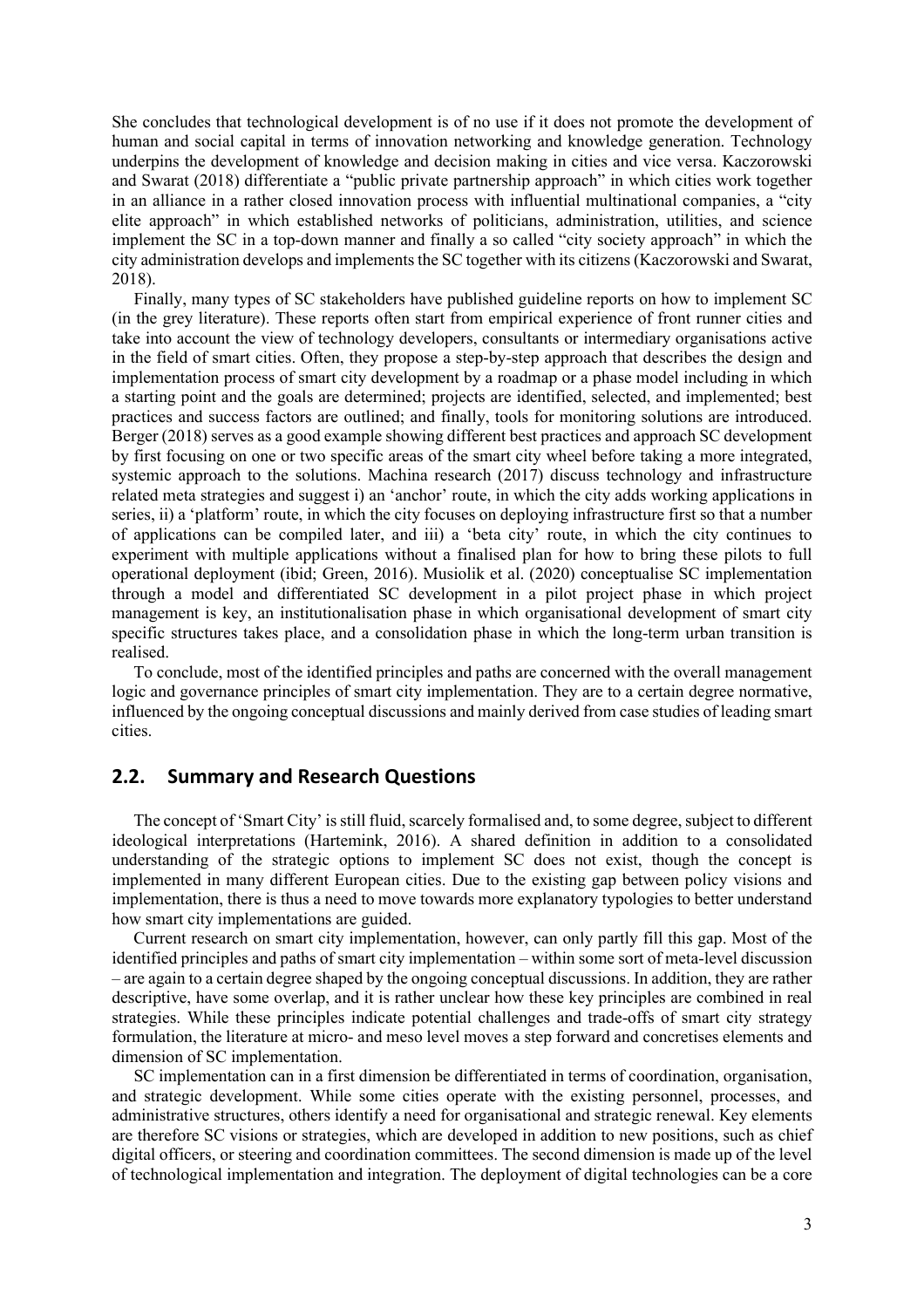She concludes that technological development is of no use if it does not promote the development of human and social capital in terms of innovation networking and knowledge generation. Technology underpins the development of knowledge and decision making in cities and vice versa. Kaczorowski and Swarat (2018) differentiate a "public private partnership approach" in which cities work together in an alliance in a rather closed innovation process with influential multinational companies, a "city elite approach" in which established networks of politicians, administration, utilities, and science implement the SC in a top-down manner and finally a so called "city society approach" in which the city administration develops and implements the SC together with its citizens (Kaczorowski and Swarat, 2018).

Finally, many types of SC stakeholders have published guideline reports on how to implement SC (in the grey literature). These reports often start from empirical experience of front runner cities and take into account the view of technology developers, consultants or intermediary organisations active in the field of smart cities. Often, they propose a step-by-step approach that describes the design and implementation process of smart city development by a roadmap or a phase model including in which a starting point and the goals are determined; projects are identified, selected, and implemented; best practices and success factors are outlined; and finally, tools for monitoring solutions are introduced. Berger (2018) serves as a good example showing different best practices and approach SC development by first focusing on one or two specific areas of the smart city wheel before taking a more integrated, systemic approach to the solutions. Machina research (2017) discuss technology and infrastructure related meta strategies and suggest i) an 'anchor' route, in which the city adds working applications in series, ii) a 'platform' route, in which the city focuses on deploying infrastructure first so that a number of applications can be compiled later, and iii) a 'beta city' route, in which the city continues to experiment with multiple applications without a finalised plan for how to bring these pilots to full operational deployment (ibid; Green, 2016). Musiolik et al. (2020) conceptualise SC implementation through a model and differentiated SC development in a pilot project phase in which project management is key, an institutionalisation phase in which organisational development of smart city specific structures takes place, and a consolidation phase in which the long-term urban transition is realised.

To conclude, most of the identified principles and paths are concerned with the overall management logic and governance principles of smart city implementation. They are to a certain degree normative, influenced by the ongoing conceptual discussions and mainly derived from case studies of leading smart cities.

## **2.2. Summary and Research Questions**

The concept of 'Smart City' is still fluid, scarcely formalised and, to some degree, subject to different ideological interpretations (Hartemink, 2016). A shared definition in addition to a consolidated understanding of the strategic options to implement SC does not exist, though the concept is implemented in many different European cities. Due to the existing gap between policy visions and implementation, there is thus a need to move towards more explanatory typologies to better understand how smart city implementations are guided.

Current research on smart city implementation, however, can only partly fill this gap. Most of the identified principles and paths of smart city implementation – within some sort of meta-level discussion – are again to a certain degree shaped by the ongoing conceptual discussions. In addition, they are rather descriptive, have some overlap, and it is rather unclear how these key principles are combined in real strategies. While these principles indicate potential challenges and trade-offs of smart city strategy formulation, the literature at micro- and meso level moves a step forward and concretises elements and dimension of SC implementation.

SC implementation can in a first dimension be differentiated in terms of coordination, organisation, and strategic development. While some cities operate with the existing personnel, processes, and administrative structures, others identify a need for organisational and strategic renewal. Key elements are therefore SC visions or strategies, which are developed in addition to new positions, such as chief digital officers, or steering and coordination committees. The second dimension is made up of the level of technological implementation and integration. The deployment of digital technologies can be a core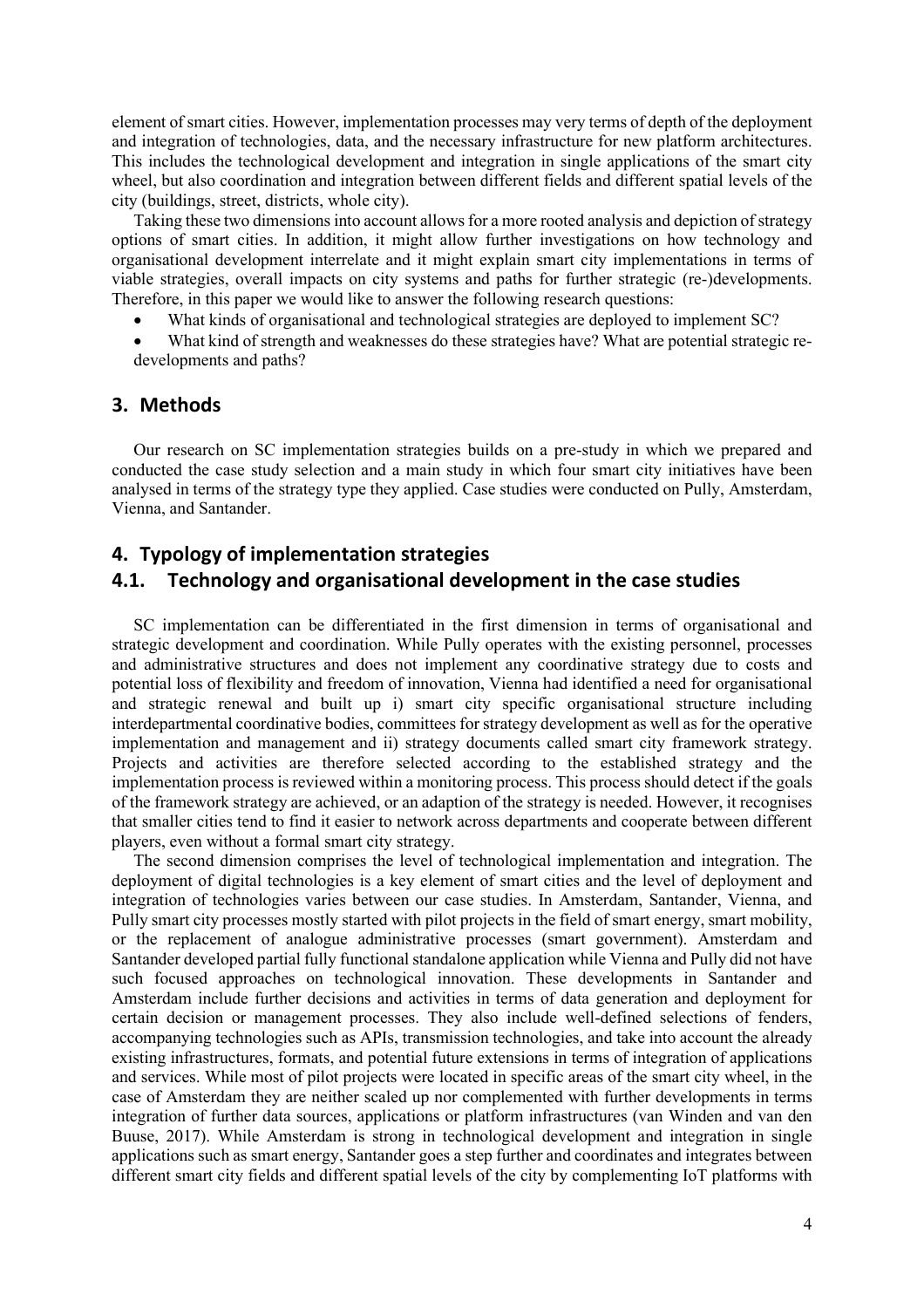element of smart cities. However, implementation processes may very terms of depth of the deployment and integration of technologies, data, and the necessary infrastructure for new platform architectures. This includes the technological development and integration in single applications of the smart city wheel, but also coordination and integration between different fields and different spatial levels of the city (buildings, street, districts, whole city).

Taking these two dimensions into account allows for a more rooted analysis and depiction of strategy options of smart cities. In addition, it might allow further investigations on how technology and organisational development interrelate and it might explain smart city implementations in terms of viable strategies, overall impacts on city systems and paths for further strategic (re-)developments. Therefore, in this paper we would like to answer the following research questions:

- What kinds of organisational and technological strategies are deployed to implement SC?
- What kind of strength and weaknesses do these strategies have? What are potential strategic redevelopments and paths?

#### **3. Methods**

Our research on SC implementation strategies builds on a pre-study in which we prepared and conducted the case study selection and a main study in which four smart city initiatives have been analysed in terms of the strategy type they applied. Case studies were conducted on Pully, Amsterdam, Vienna, and Santander.

#### **4. Typology of implementation strategies**

#### **4.1. Technology and organisational development in the case studies**

SC implementation can be differentiated in the first dimension in terms of organisational and strategic development and coordination. While Pully operates with the existing personnel, processes and administrative structures and does not implement any coordinative strategy due to costs and potential loss of flexibility and freedom of innovation, Vienna had identified a need for organisational and strategic renewal and built up i) smart city specific organisational structure including interdepartmental coordinative bodies, committees for strategy development as well as for the operative implementation and management and ii) strategy documents called smart city framework strategy. Projects and activities are therefore selected according to the established strategy and the implementation process is reviewed within a monitoring process. This process should detect if the goals of the framework strategy are achieved, or an adaption of the strategy is needed. However, it recognises that smaller cities tend to find it easier to network across departments and cooperate between different players, even without a formal smart city strategy.

The second dimension comprises the level of technological implementation and integration. The deployment of digital technologies is a key element of smart cities and the level of deployment and integration of technologies varies between our case studies. In Amsterdam, Santander, Vienna, and Pully smart city processes mostly started with pilot projects in the field of smart energy, smart mobility, or the replacement of analogue administrative processes (smart government). Amsterdam and Santander developed partial fully functional standalone application while Vienna and Pully did not have such focused approaches on technological innovation. These developments in Santander and Amsterdam include further decisions and activities in terms of data generation and deployment for certain decision or management processes. They also include well-defined selections of fenders, accompanying technologies such as APIs, transmission technologies, and take into account the already existing infrastructures, formats, and potential future extensions in terms of integration of applications and services. While most of pilot projects were located in specific areas of the smart city wheel, in the case of Amsterdam they are neither scaled up nor complemented with further developments in terms integration of further data sources, applications or platform infrastructures (van Winden and van den Buuse, 2017). While Amsterdam is strong in technological development and integration in single applications such as smart energy, Santander goes a step further and coordinates and integrates between different smart city fields and different spatial levels of the city by complementing IoT platforms with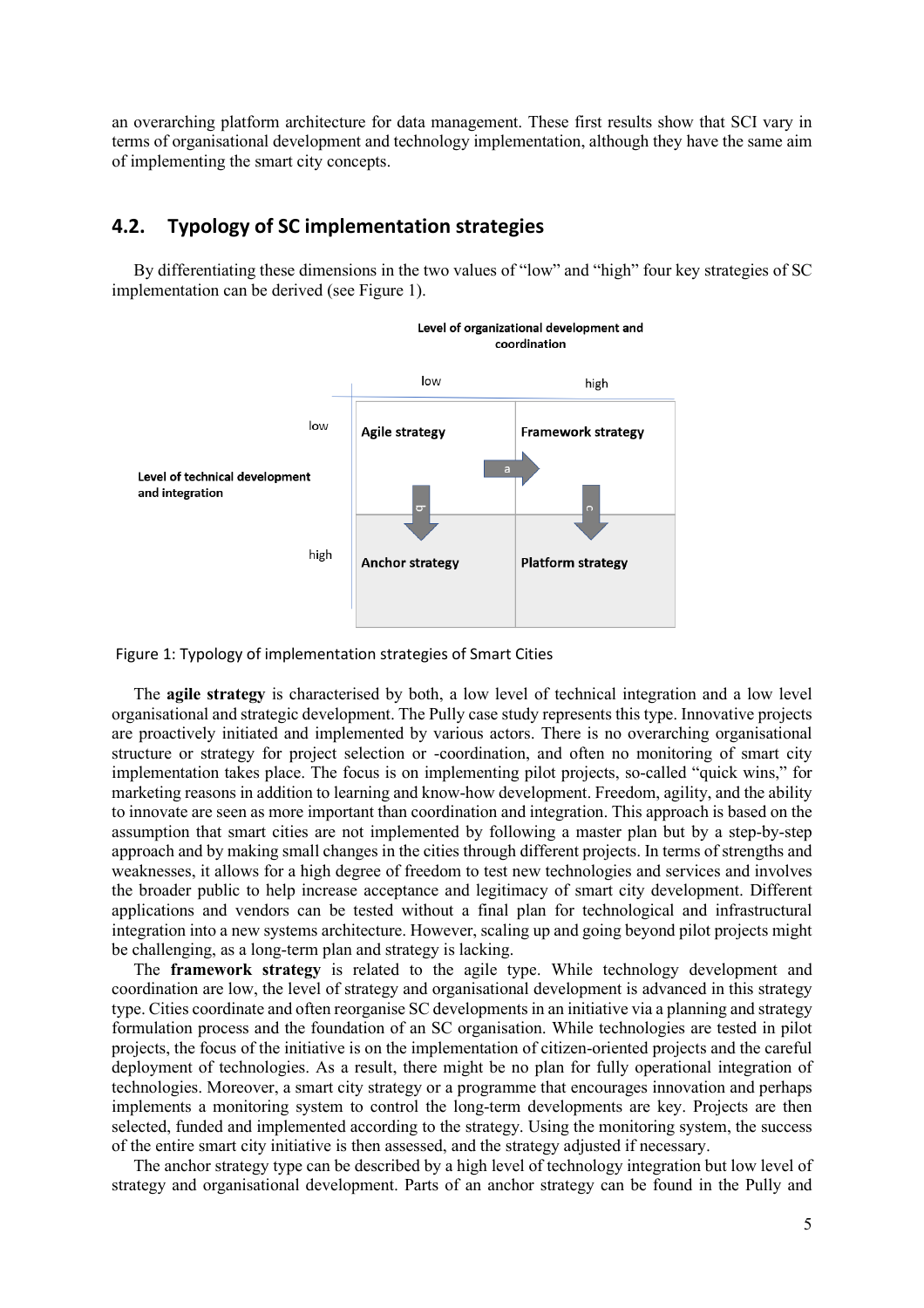an overarching platform architecture for data management. These first results show that SCI vary in terms of organisational development and technology implementation, although they have the same aim of implementing the smart city concepts.

## **4.2. Typology of SC implementation strategies**

By differentiating these dimensions in the two values of "low" and "high" four key strategies of SC implementation can be derived (see [Figure 1\)](#page-4-0).



<span id="page-4-0"></span>Figure 1: Typology of implementation strategies of Smart Cities

The **agile strategy** is characterised by both, a low level of technical integration and a low level organisational and strategic development. The Pully case study represents this type. Innovative projects are proactively initiated and implemented by various actors. There is no overarching organisational structure or strategy for project selection or -coordination, and often no monitoring of smart city implementation takes place. The focus is on implementing pilot projects, so-called "quick wins," for marketing reasons in addition to learning and know-how development. Freedom, agility, and the ability to innovate are seen as more important than coordination and integration. This approach is based on the assumption that smart cities are not implemented by following a master plan but by a step-by-step approach and by making small changes in the cities through different projects. In terms of strengths and weaknesses, it allows for a high degree of freedom to test new technologies and services and involves the broader public to help increase acceptance and legitimacy of smart city development. Different applications and vendors can be tested without a final plan for technological and infrastructural integration into a new systems architecture. However, scaling up and going beyond pilot projects might be challenging, as a long-term plan and strategy is lacking.

The **framework strategy** is related to the agile type. While technology development and coordination are low, the level of strategy and organisational development is advanced in this strategy type. Cities coordinate and often reorganise SC developments in an initiative via a planning and strategy formulation process and the foundation of an SC organisation. While technologies are tested in pilot projects, the focus of the initiative is on the implementation of citizen-oriented projects and the careful deployment of technologies. As a result, there might be no plan for fully operational integration of technologies. Moreover, a smart city strategy or a programme that encourages innovation and perhaps implements a monitoring system to control the long-term developments are key. Projects are then selected, funded and implemented according to the strategy. Using the monitoring system, the success of the entire smart city initiative is then assessed, and the strategy adjusted if necessary.

The anchor strategy type can be described by a high level of technology integration but low level of strategy and organisational development. Parts of an anchor strategy can be found in the Pully and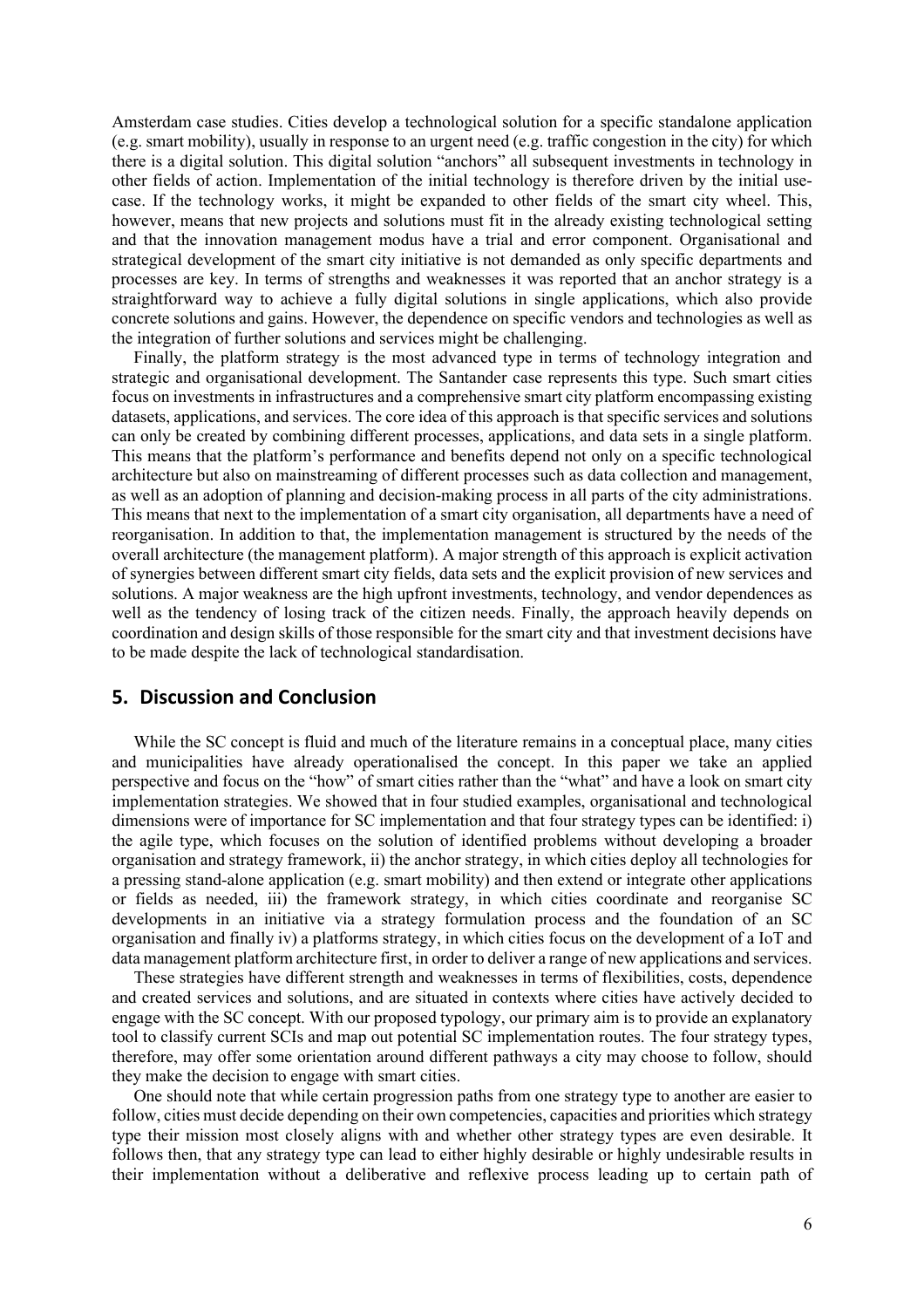Amsterdam case studies. Cities develop a technological solution for a specific standalone application (e.g. smart mobility), usually in response to an urgent need (e.g. traffic congestion in the city) for which there is a digital solution. This digital solution "anchors" all subsequent investments in technology in other fields of action. Implementation of the initial technology is therefore driven by the initial usecase. If the technology works, it might be expanded to other fields of the smart city wheel. This, however, means that new projects and solutions must fit in the already existing technological setting and that the innovation management modus have a trial and error component. Organisational and strategical development of the smart city initiative is not demanded as only specific departments and processes are key. In terms of strengths and weaknesses it was reported that an anchor strategy is a straightforward way to achieve a fully digital solutions in single applications, which also provide concrete solutions and gains. However, the dependence on specific vendors and technologies as well as the integration of further solutions and services might be challenging.

Finally, the platform strategy is the most advanced type in terms of technology integration and strategic and organisational development. The Santander case represents this type. Such smart cities focus on investments in infrastructures and a comprehensive smart city platform encompassing existing datasets, applications, and services. The core idea of this approach is that specific services and solutions can only be created by combining different processes, applications, and data sets in a single platform. This means that the platform's performance and benefits depend not only on a specific technological architecture but also on mainstreaming of different processes such as data collection and management, as well as an adoption of planning and decision-making process in all parts of the city administrations. This means that next to the implementation of a smart city organisation, all departments have a need of reorganisation. In addition to that, the implementation management is structured by the needs of the overall architecture (the management platform). A major strength of this approach is explicit activation of synergies between different smart city fields, data sets and the explicit provision of new services and solutions. A major weakness are the high upfront investments, technology, and vendor dependences as well as the tendency of losing track of the citizen needs. Finally, the approach heavily depends on coordination and design skills of those responsible for the smart city and that investment decisions have to be made despite the lack of technological standardisation.

# **5. Discussion and Conclusion**

While the SC concept is fluid and much of the literature remains in a conceptual place, many cities and municipalities have already operationalised the concept. In this paper we take an applied perspective and focus on the "how" of smart cities rather than the "what" and have a look on smart city implementation strategies. We showed that in four studied examples, organisational and technological dimensions were of importance for SC implementation and that four strategy types can be identified: i) the agile type, which focuses on the solution of identified problems without developing a broader organisation and strategy framework, ii) the anchor strategy, in which cities deploy all technologies for a pressing stand-alone application (e.g. smart mobility) and then extend or integrate other applications or fields as needed, iii) the framework strategy, in which cities coordinate and reorganise SC developments in an initiative via a strategy formulation process and the foundation of an SC organisation and finally iv) a platforms strategy, in which cities focus on the development of a IoT and data management platform architecture first, in order to deliver a range of new applications and services.

These strategies have different strength and weaknesses in terms of flexibilities, costs, dependence and created services and solutions, and are situated in contexts where cities have actively decided to engage with the SC concept. With our proposed typology, our primary aim is to provide an explanatory tool to classify current SCIs and map out potential SC implementation routes. The four strategy types, therefore, may offer some orientation around different pathways a city may choose to follow, should they make the decision to engage with smart cities.

One should note that while certain progression paths from one strategy type to another are easier to follow, cities must decide depending on their own competencies, capacities and priorities which strategy type their mission most closely aligns with and whether other strategy types are even desirable. It follows then, that any strategy type can lead to either highly desirable or highly undesirable results in their implementation without a deliberative and reflexive process leading up to certain path of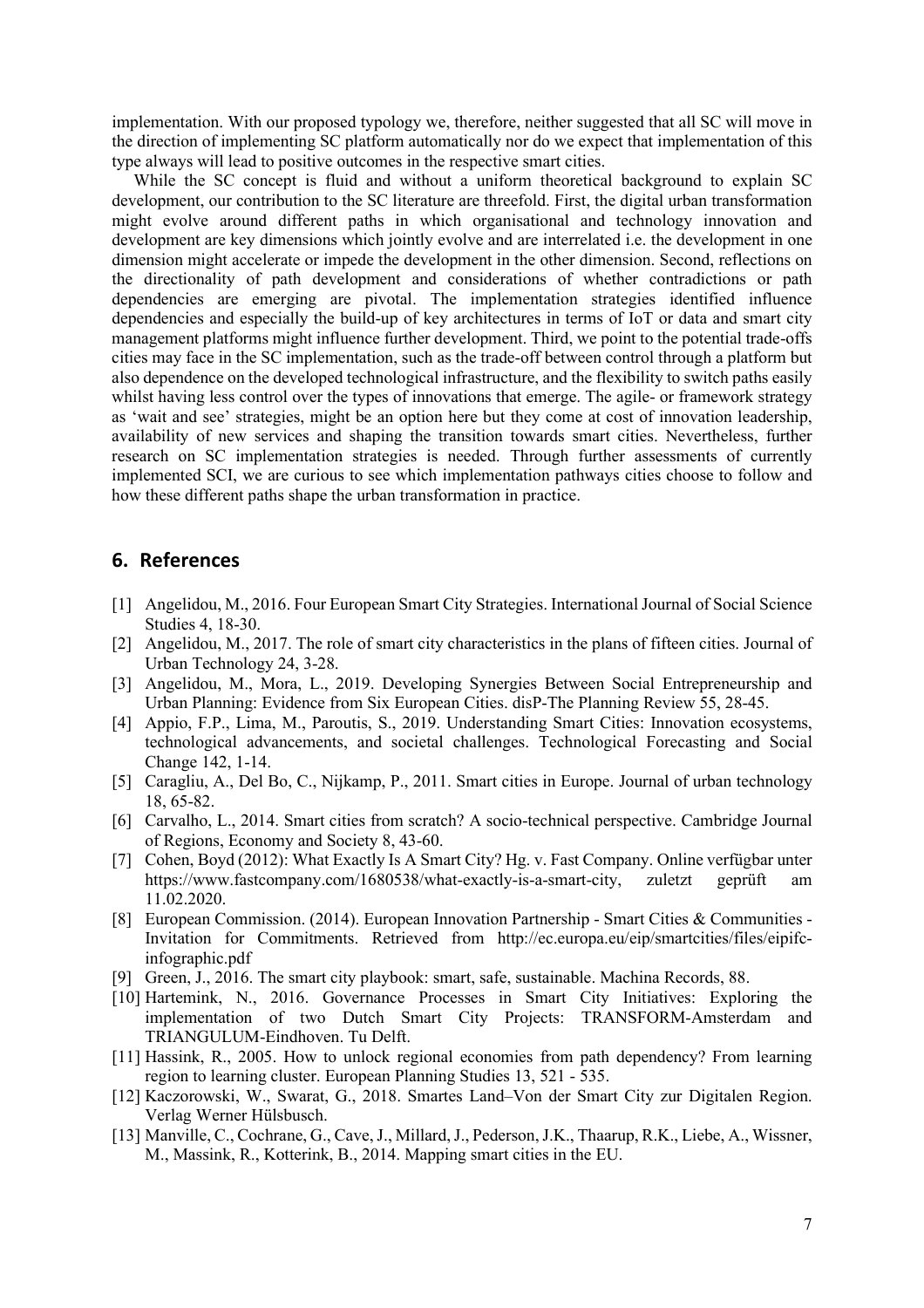implementation. With our proposed typology we, therefore, neither suggested that all SC will move in the direction of implementing SC platform automatically nor do we expect that implementation of this type always will lead to positive outcomes in the respective smart cities.

While the SC concept is fluid and without a uniform theoretical background to explain SC development, our contribution to the SC literature are threefold. First, the digital urban transformation might evolve around different paths in which organisational and technology innovation and development are key dimensions which jointly evolve and are interrelated i.e. the development in one dimension might accelerate or impede the development in the other dimension. Second, reflections on the directionality of path development and considerations of whether contradictions or path dependencies are emerging are pivotal. The implementation strategies identified influence dependencies and especially the build-up of key architectures in terms of IoT or data and smart city management platforms might influence further development. Third, we point to the potential trade-offs cities may face in the SC implementation, such as the trade-off between control through a platform but also dependence on the developed technological infrastructure, and the flexibility to switch paths easily whilst having less control over the types of innovations that emerge. The agile- or framework strategy as 'wait and see' strategies, might be an option here but they come at cost of innovation leadership, availability of new services and shaping the transition towards smart cities. Nevertheless, further research on SC implementation strategies is needed. Through further assessments of currently implemented SCI, we are curious to see which implementation pathways cities choose to follow and how these different paths shape the urban transformation in practice.

## **6. References**

- [1] Angelidou, M., 2016. Four European Smart City Strategies. International Journal of Social Science Studies 4, 18-30.
- [2] Angelidou, M., 2017. The role of smart city characteristics in the plans of fifteen cities. Journal of Urban Technology 24, 3-28.
- [3] Angelidou, M., Mora, L., 2019. Developing Synergies Between Social Entrepreneurship and Urban Planning: Evidence from Six European Cities. disP-The Planning Review 55, 28-45.
- [4] Appio, F.P., Lima, M., Paroutis, S., 2019. Understanding Smart Cities: Innovation ecosystems, technological advancements, and societal challenges. Technological Forecasting and Social Change 142, 1-14.
- [5] Caragliu, A., Del Bo, C., Nijkamp, P., 2011. Smart cities in Europe. Journal of urban technology 18, 65-82.
- [6] Carvalho, L., 2014. Smart cities from scratch? A socio-technical perspective. Cambridge Journal of Regions, Economy and Society 8, 43-60.
- [7] Cohen, Boyd (2012): What Exactly Is A Smart City? Hg. v. Fast Company. Online verfügbar unter https://www.fastcompany.com/1680538/what-exactly-is-a-smart-city, zuletzt geprüft am 11.02.2020.
- [8] European Commission. (2014). European Innovation Partnership Smart Cities & Communities Invitation for Commitments. Retrieved from http://ec.europa.eu/eip/smartcities/files/eipifcinfographic.pdf
- [9] Green, J., 2016. The smart city playbook: smart, safe, sustainable. Machina Records, 88.
- [10] Hartemink, N., 2016. Governance Processes in Smart City Initiatives: Exploring the implementation of two Dutch Smart City Projects: TRANSFORM-Amsterdam and TRIANGULUM-Eindhoven. Tu Delft.
- [11] Hassink, R., 2005. How to unlock regional economies from path dependency? From learning region to learning cluster. European Planning Studies 13, 521 - 535.
- [12] Kaczorowski, W., Swarat, G., 2018. Smartes Land–Von der Smart City zur Digitalen Region. Verlag Werner Hülsbusch.
- [13] Manville, C., Cochrane, G., Cave, J., Millard, J., Pederson, J.K., Thaarup, R.K., Liebe, A., Wissner, M., Massink, R., Kotterink, B., 2014. Mapping smart cities in the EU.